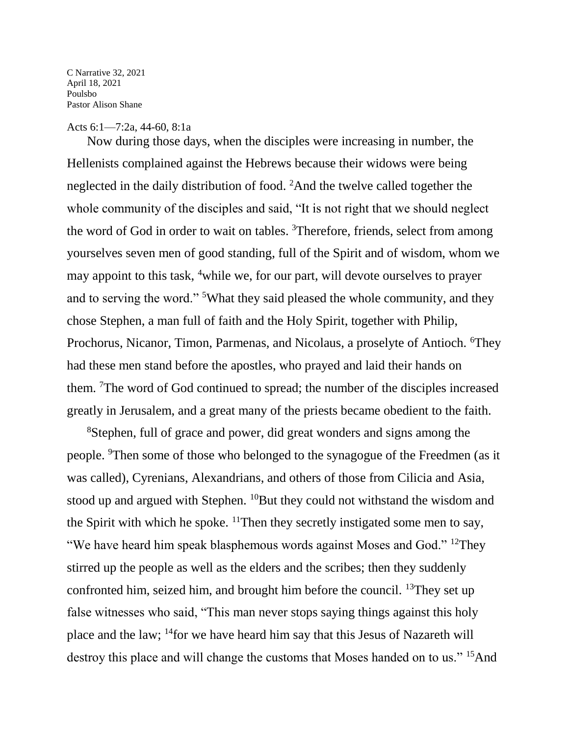C Narrative 32, 2021 April 18, 2021 Poulsbo Pastor Alison Shane

## Acts 6:1—7:2a, 44-60, 8:1a

Now during those days, when the disciples were increasing in number, the Hellenists complained against the Hebrews because their widows were being neglected in the daily distribution of food. <sup>2</sup>And the twelve called together the whole community of the disciples and said, "It is not right that we should neglect the word of God in order to wait on tables. <sup>3</sup>Therefore, friends, select from among yourselves seven men of good standing, full of the Spirit and of wisdom, whom we may appoint to this task, <sup>4</sup>while we, for our part, will devote ourselves to prayer and to serving the word." <sup>5</sup>What they said pleased the whole community, and they chose Stephen, a man full of faith and the Holy Spirit, together with Philip, Prochorus, Nicanor, Timon, Parmenas, and Nicolaus, a proselyte of Antioch. <sup>6</sup>They had these men stand before the apostles, who prayed and laid their hands on them. <sup>7</sup>The word of God continued to spread; the number of the disciples increased greatly in Jerusalem, and a great many of the priests became obedient to the faith.

<sup>8</sup>Stephen, full of grace and power, did great wonders and signs among the people. <sup>9</sup>Then some of those who belonged to the synagogue of the Freedmen (as it was called), Cyrenians, Alexandrians, and others of those from Cilicia and Asia, stood up and argued with Stephen. <sup>10</sup>But they could not withstand the wisdom and the Spirit with which he spoke.  $\frac{11}{1}$ Then they secretly instigated some men to say, "We have heard him speak blasphemous words against Moses and God." <sup>12</sup>They stirred up the people as well as the elders and the scribes; then they suddenly confronted him, seized him, and brought him before the council. <sup>13</sup>They set up false witnesses who said, "This man never stops saying things against this holy place and the law; <sup>14</sup>for we have heard him say that this Jesus of Nazareth will destroy this place and will change the customs that Moses handed on to us." <sup>15</sup>And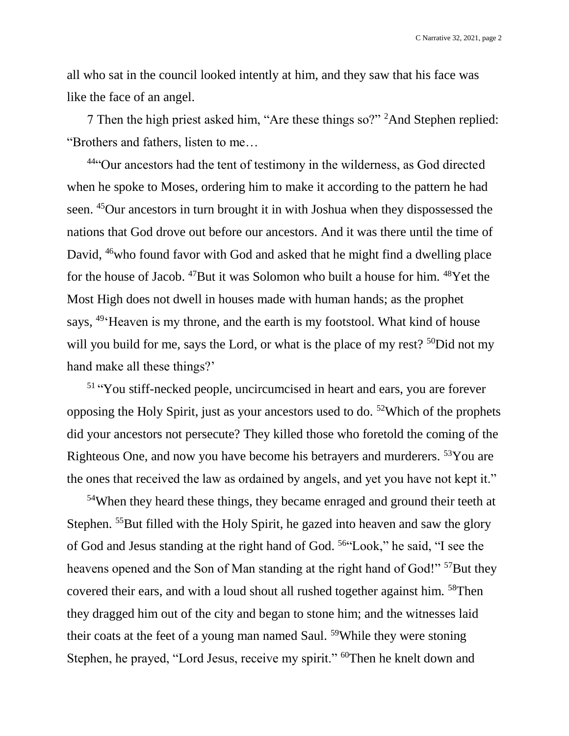C Narrative 32, 2021, page 2

all who sat in the council looked intently at him, and they saw that his face was like the face of an angel.

7 Then the high priest asked him, "Are these things so?" <sup>2</sup>And Stephen replied: "Brothers and fathers, listen to me…

<sup>44</sup>"Our ancestors had the tent of testimony in the wilderness, as God directed when he spoke to Moses, ordering him to make it according to the pattern he had seen. <sup>45</sup>Our ancestors in turn brought it in with Joshua when they dispossessed the nations that God drove out before our ancestors. And it was there until the time of David, <sup>46</sup>who found favor with God and asked that he might find a dwelling place for the house of Jacob. <sup>47</sup>But it was Solomon who built a house for him. <sup>48</sup>Yet the Most High does not dwell in houses made with human hands; as the prophet says, <sup>49</sup> Heaven is my throne, and the earth is my footstool. What kind of house will you build for me, says the Lord, or what is the place of my rest?  $50$ Did not my hand make all these things?'

51 "You stiff-necked people, uncircumcised in heart and ears, you are forever opposing the Holy Spirit, just as your ancestors used to do. <sup>52</sup>Which of the prophets did your ancestors not persecute? They killed those who foretold the coming of the Righteous One, and now you have become his betrayers and murderers. <sup>53</sup>You are the ones that received the law as ordained by angels, and yet you have not kept it."

<sup>54</sup>When they heard these things, they became enraged and ground their teeth at Stephen. <sup>55</sup>But filled with the Holy Spirit, he gazed into heaven and saw the glory of God and Jesus standing at the right hand of God. <sup>56</sup>"Look," he said, "I see the heavens opened and the Son of Man standing at the right hand of God!"<sup>57</sup>But they covered their ears, and with a loud shout all rushed together against him. <sup>58</sup>Then they dragged him out of the city and began to stone him; and the witnesses laid their coats at the feet of a young man named Saul. <sup>59</sup>While they were stoning Stephen, he prayed, "Lord Jesus, receive my spirit." <sup>60</sup>Then he knelt down and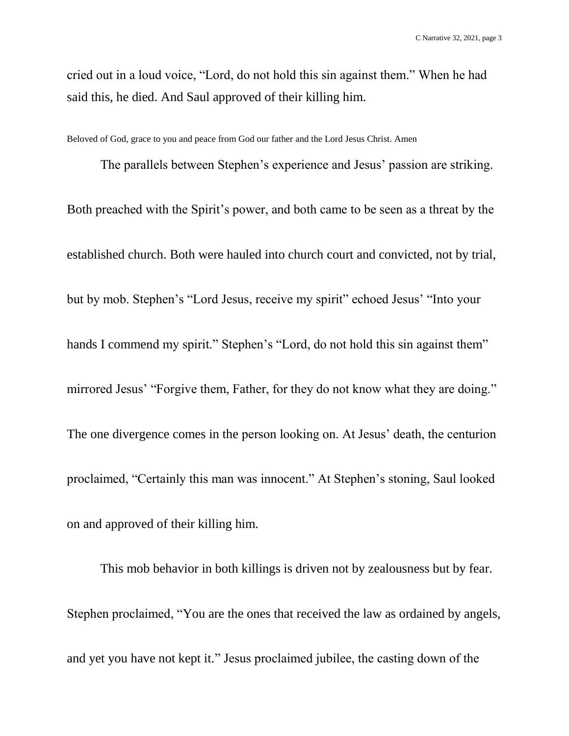cried out in a loud voice, "Lord, do not hold this sin against them." When he had said this, he died. And Saul approved of their killing him.

Beloved of God, grace to you and peace from God our father and the Lord Jesus Christ. Amen

The parallels between Stephen's experience and Jesus' passion are striking. Both preached with the Spirit's power, and both came to be seen as a threat by the established church. Both were hauled into church court and convicted, not by trial, but by mob. Stephen's "Lord Jesus, receive my spirit" echoed Jesus' "Into your hands I commend my spirit." Stephen's "Lord, do not hold this sin against them" mirrored Jesus' "Forgive them, Father, for they do not know what they are doing." The one divergence comes in the person looking on. At Jesus' death, the centurion proclaimed, "Certainly this man was innocent." At Stephen's stoning, Saul looked on and approved of their killing him.

This mob behavior in both killings is driven not by zealousness but by fear. Stephen proclaimed, "You are the ones that received the law as ordained by angels, and yet you have not kept it." Jesus proclaimed jubilee, the casting down of the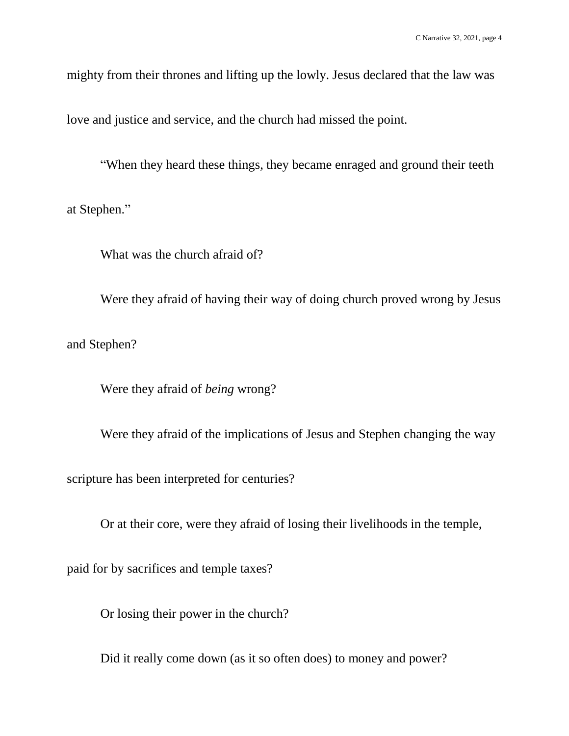mighty from their thrones and lifting up the lowly. Jesus declared that the law was

love and justice and service, and the church had missed the point.

"When they heard these things, they became enraged and ground their teeth

at Stephen."

What was the church afraid of?

Were they afraid of having their way of doing church proved wrong by Jesus and Stephen?

Were they afraid of *being* wrong?

Were they afraid of the implications of Jesus and Stephen changing the way scripture has been interpreted for centuries?

Or at their core, were they afraid of losing their livelihoods in the temple,

paid for by sacrifices and temple taxes?

Or losing their power in the church?

Did it really come down (as it so often does) to money and power?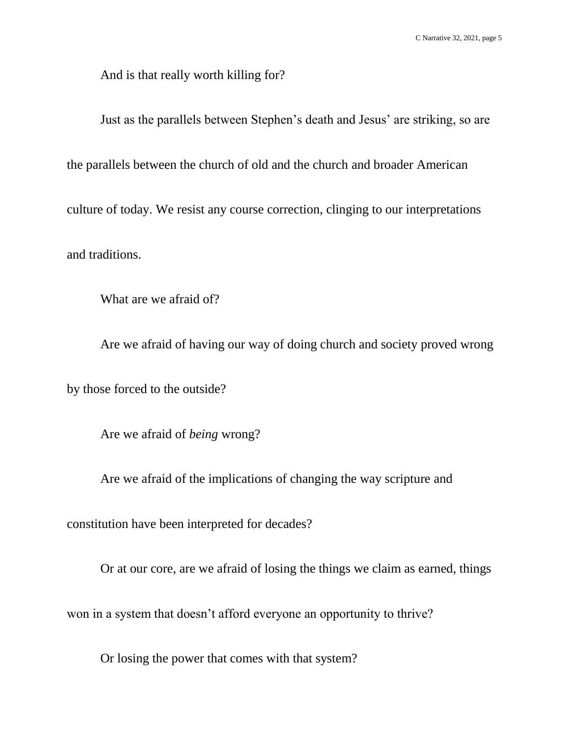And is that really worth killing for?

Just as the parallels between Stephen's death and Jesus' are striking, so are the parallels between the church of old and the church and broader American culture of today. We resist any course correction, clinging to our interpretations and traditions.

What are we afraid of?

Are we afraid of having our way of doing church and society proved wrong by those forced to the outside?

Are we afraid of *being* wrong?

Are we afraid of the implications of changing the way scripture and

constitution have been interpreted for decades?

Or at our core, are we afraid of losing the things we claim as earned, things won in a system that doesn't afford everyone an opportunity to thrive?

Or losing the power that comes with that system?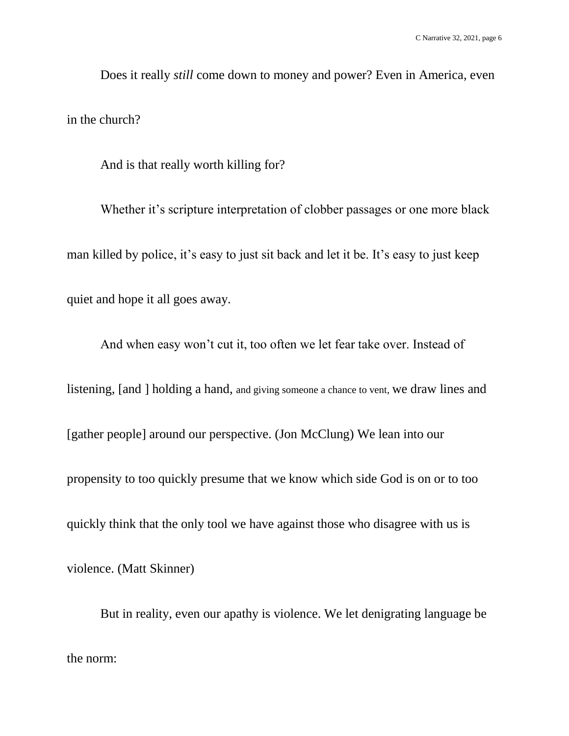Does it really *still* come down to money and power? Even in America, even in the church?

And is that really worth killing for?

Whether it's scripture interpretation of clobber passages or one more black man killed by police, it's easy to just sit back and let it be. It's easy to just keep quiet and hope it all goes away.

And when easy won't cut it, too often we let fear take over. Instead of listening, [and ] holding a hand, and giving someone a chance to vent, we draw lines and [gather people] around our perspective. (Jon McClung) We lean into our propensity to too quickly presume that we know which side God is on or to too quickly think that the only tool we have against those who disagree with us is violence. (Matt Skinner)

But in reality, even our apathy is violence. We let denigrating language be the norm: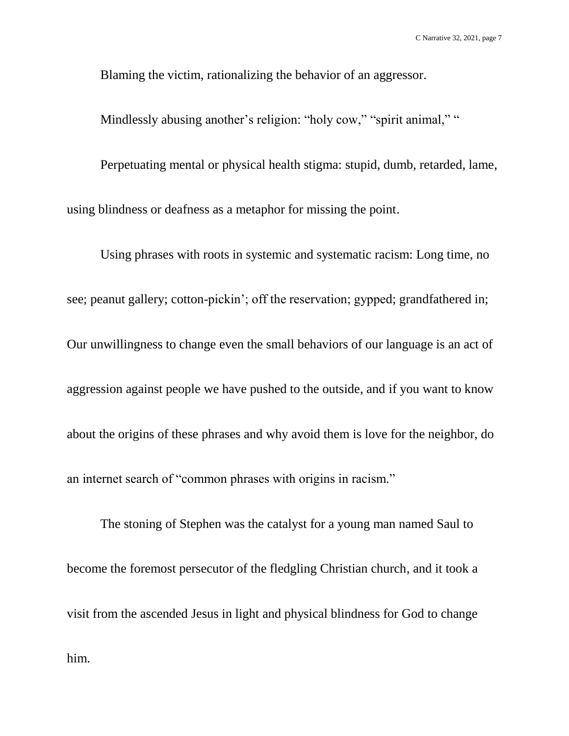Blaming the victim, rationalizing the behavior of an aggressor.

Mindlessly abusing another's religion: "holy cow," "spirit animal," "

Perpetuating mental or physical health stigma: stupid, dumb, retarded, lame,

using blindness or deafness as a metaphor for missing the point.

Using phrases with roots in systemic and systematic racism: Long time, no see; peanut gallery; cotton-pickin'; off the reservation; gypped; grandfathered in; Our unwillingness to change even the small behaviors of our language is an act of aggression against people we have pushed to the outside, and if you want to know about the origins of these phrases and why avoid them is love for the neighbor, do an internet search of "common phrases with origins in racism."

The stoning of Stephen was the catalyst for a young man named Saul to become the foremost persecutor of the fledgling Christian church, and it took a visit from the ascended Jesus in light and physical blindness for God to change him.